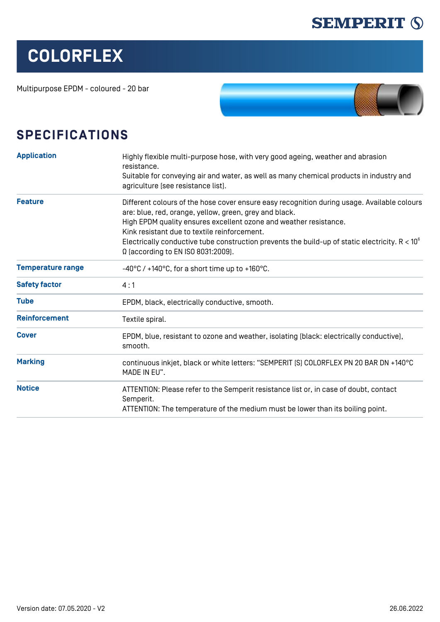

## **COLORFLEX**

Multipurpose EPDM - coloured - 20 bar



## **SPECIFICATIONS**

| <b>Application</b>       | Highly flexible multi-purpose hose, with very good ageing, weather and abrasion<br>resistance.                                                                                                                                                                                                                                                                                                                        |  |  |  |  |  |
|--------------------------|-----------------------------------------------------------------------------------------------------------------------------------------------------------------------------------------------------------------------------------------------------------------------------------------------------------------------------------------------------------------------------------------------------------------------|--|--|--|--|--|
|                          | Suitable for conveying air and water, as well as many chemical products in industry and<br>agriculture (see resistance list).                                                                                                                                                                                                                                                                                         |  |  |  |  |  |
| <b>Feature</b>           | Different colours of the hose cover ensure easy recognition during usage. Available colours<br>are: blue, red, orange, yellow, green, grey and black.<br>High EPDM quality ensures excellent ozone and weather resistance.<br>Kink resistant due to textile reinforcement.<br>Electrically conductive tube construction prevents the build-up of static electricity. $R < 10^6$<br>Ω (according to EN ISO 8031:2009). |  |  |  |  |  |
| <b>Temperature range</b> | -40°C / +140°C, for a short time up to +160°C.                                                                                                                                                                                                                                                                                                                                                                        |  |  |  |  |  |
| <b>Safety factor</b>     | 4:1                                                                                                                                                                                                                                                                                                                                                                                                                   |  |  |  |  |  |
| <b>Tube</b>              | EPDM, black, electrically conductive, smooth.                                                                                                                                                                                                                                                                                                                                                                         |  |  |  |  |  |
| <b>Reinforcement</b>     | Textile spiral.                                                                                                                                                                                                                                                                                                                                                                                                       |  |  |  |  |  |
| <b>Cover</b>             | EPDM, blue, resistant to ozone and weather, isolating [black: electrically conductive],<br>smooth.                                                                                                                                                                                                                                                                                                                    |  |  |  |  |  |
| <b>Marking</b>           | continuous inkjet, black or white letters: "SEMPERIT [S] COLORFLEX PN 20 BAR DN +140°C<br>MADE IN EU".                                                                                                                                                                                                                                                                                                                |  |  |  |  |  |
| <b>Notice</b>            | ATTENTION: Please refer to the Semperit resistance list or, in case of doubt, contact<br>Semperit.<br>ATTENTION: The temperature of the medium must be lower than its boiling point.                                                                                                                                                                                                                                  |  |  |  |  |  |